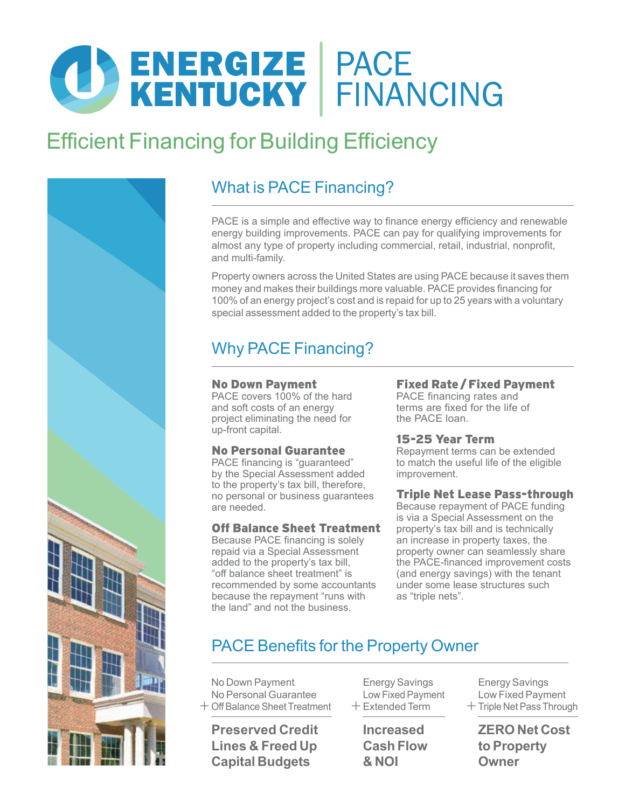# **CO ENERGIZE PACE<br>KENTUCKY FINANCING**

# **Efficient Financing for Building Efficiency**



## What is PACE Financing?

PACE is a simple and effective way to finance energy efficiency and renewable energy building improvements. PACE can pay for qualifying improvements for almost any type of property including commercial, retail, industrial, nonprofit, and multi-family.

Property owners across the United States are using PACE because it saves them money and makes their buildings more valuable. PACE provides financing for 100% of an energy project's cost and is repaid for up to 25 years with a voluntary special assessment added to the property's tax bill.

## Why PACE Financing?

#### No Down Payment

PACE covers 100% of the hard and soft costs of an energy project eliminating the need for up-front capital.

## No Personal Guarantee

PACE financing is "guaranteed" by the Special Assessment added to the property's tax bill, therefore, no personal or business guarantees are needed.

## Off Balance Sheet Treatment

Because PACE financing is solely repaid via a Special Assessment added to the property's tax bill, "off balance sheet treatment" is recommended by some accountants because the repayment "runs with the land" and not the business.

## Fixed Rate /Fixed Payment

PACE financing rates and terms are fixed for the life of the PACE loan.

## 15-25 Year Term

Repayment terms can be extended to match the useful life of the eligible improvement.

## Triple Net Lease Pass-through

Because repayment of PACE funding is via a Special Assessment on the property's tax bill and is technically an increase in property taxes, the property owner can seamlessly share the PACE-financed improvement costs (and energy savings) with the tenant under some lease structures such as "triple nets".

## PACE Benefits for the Property Owner

No Down Payment No Personal Guarantee + Off Balance Sheet Treatment

**Preserved Credit Lines & Freed Up Capital Budgets**

Energy Savings Low Fixed Payment  $+$  Extended Term

> **Increased Cash Flow & NOI**

Energy Savings Low Fixed Payment + Triple Net Pass Through

**ZERO Net Cost to Property Owner**